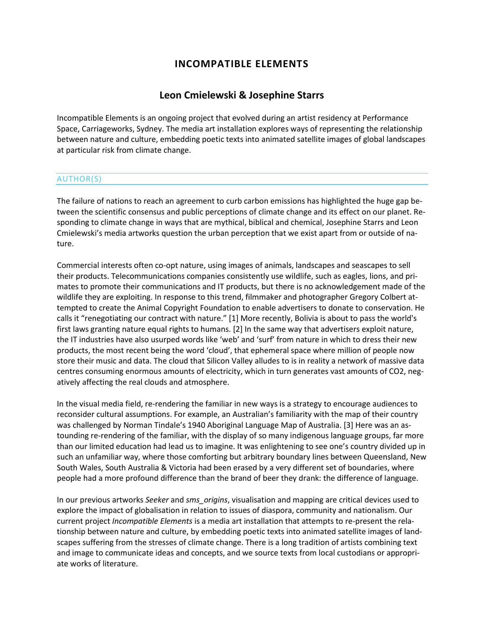## **INCOMPATIBLE ELEMENTS**

## **[Leon Cmielewski](http://isea2011.sabanciuniv.edu/-299.html) & [Josephine Starrs](http://isea2011.sabanciuniv.edu/-298.html)**

Incompatible Elements is an ongoing project that evolved during an artist residency at Performance Space, Carriageworks, Sydney. The media art installation explores ways of representing the relationship between nature and culture, embedding poetic texts into animated satellite images of global landscapes at particular risk from climate change.

## AUTHOR(S)

The failure of nations to reach an agreement to curb carbon emissions has highlighted the huge gap between the scientific consensus and public perceptions of climate change and its effect on our planet. Responding to climate change in ways that are mythical, biblical and chemical, Josephine Starrs and Leon Cmielewski's media artworks question the urban perception that we exist apart from or outside of nature.

Commercial interests often co-opt nature, using images of animals, landscapes and seascapes to sell their products. Telecommunications companies consistently use wildlife, such as eagles, lions, and primates to promote their communications and IT products, but there is no acknowledgement made of the wildlife they are exploiting. In response to this trend, filmmaker and photographer Gregory Colbert attempted to create the Animal Copyright Foundation to enable advertisers to donate to conservation. He calls it "renegotiating our contract with nature." [1] More recently, Bolivia is about to pass the world's first laws granting nature equal rights to humans. [2] In the same way that advertisers exploit nature, the IT industries have also usurped words like 'web' and 'surf' from nature in which to dress their new products, the most recent being the word 'cloud', that ephemeral space where million of people now store their music and data. The cloud that Silicon Valley alludes to is in reality a network of massive data centres consuming enormous amounts of electricity, which in turn generates vast amounts of CO2, negatively affecting the real clouds and atmosphere.

In the visual media field, re-rendering the familiar in new ways is a strategy to encourage audiences to reconsider cultural assumptions. For example, an Australian's familiarity with the map of their country was challenged by Norman Tindale's 1940 Aboriginal Language Map of Australia. [3] Here was an astounding re-rendering of the familiar, with the display of so many indigenous language groups, far more than our limited education had lead us to imagine. It was enlightening to see one's country divided up in such an unfamiliar way, where those comforting but arbitrary boundary lines between Queensland, New South Wales, South Australia & Victoria had been erased by a very different set of boundaries, where people had a more profound difference than the brand of beer they drank: the difference of language.

In our previous artworks *Seeker* and *sms\_origins*, visualisation and mapping are critical devices used to explore the impact of globalisation in relation to issues of diaspora, community and nationalism. Our current project *Incompatible Elements* is a media art installation that attempts to re-present the relationship between nature and culture, by embedding poetic texts into animated satellite images of landscapes suffering from the stresses of climate change. There is a long tradition of artists combining text and image to communicate ideas and concepts, and we source texts from local custodians or appropriate works of literature.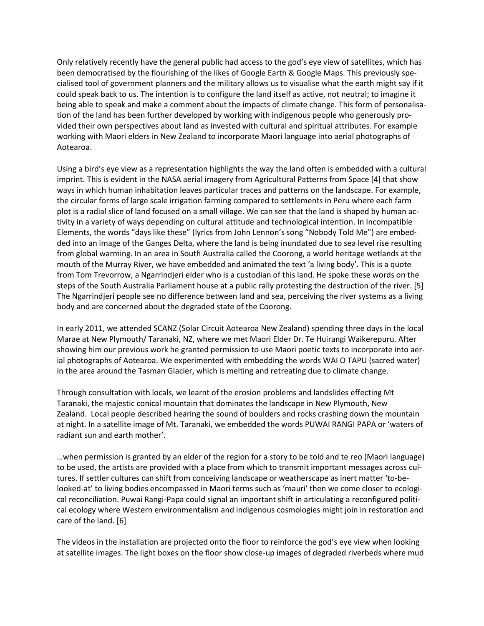Only relatively recently have the general public had access to the god's eye view of satellites, which has been democratised by the flourishing of the likes of Google Earth & Google Maps. This previously specialised tool of government planners and the military allows us to visualise what the earth might say if it could speak back to us. The intention is to configure the land itself as active, not neutral; to imagine it being able to speak and make a comment about the impacts of climate change. This form of personalisation of the land has been further developed by working with indigenous people who generously provided their own perspectives about land as invested with cultural and spiritual attributes. For example working with Maori elders in New Zealand to incorporate Maori language into aerial photographs of Aotearoa.

Using a bird's eye view as a representation highlights the way the land often is embedded with a cultural imprint. This is evident in the NASA aerial imagery from Agricultural Patterns from Space [4] that show ways in which human inhabitation leaves particular traces and patterns on the landscape. For example, the circular forms of large scale irrigation farming compared to settlements in Peru where each farm plot is a radial slice of land focused on a small village. We can see that the land is shaped by human activity in a variety of ways depending on cultural attitude and technological intention. In Incompatible Elements, the words "days like these" (lyrics from John Lennon's song "Nobody Told Me") are embedded into an image of the Ganges Delta, where the land is being inundated due to sea level rise resulting from global warming. In an area in South Australia called the Coorong, a world heritage wetlands at the mouth of the Murray River, we have embedded and animated the text 'a living body'. This is a quote from Tom Trevorrow, a Ngarrindjeri elder who is a custodian of this land. He spoke these words on the steps of the South Australia Parliament house at a public rally protesting the destruction of the river. [5] The Ngarrindjeri people see no difference between land and sea, perceiving the river systems as a living body and are concerned about the degraded state of the Coorong.

In early 2011, we attended SCANZ (Solar Circuit Aotearoa New Zealand) spending three days in the local Marae at New Plymouth/ Taranaki, NZ, where we met Maori Elder Dr. Te Huirangi Waikerepuru. After showing him our previous work he granted permission to use Maori poetic texts to incorporate into aerial photographs of Aotearoa. We experimented with embedding the words WAI O TAPU (sacred water) in the area around the Tasman Glacier, which is melting and retreating due to climate change.

Through consultation with locals, we learnt of the erosion problems and landslides effecting Mt Taranaki, the majestic conical mountain that dominates the landscape in New Plymouth, New Zealand. Local people described hearing the sound of boulders and rocks crashing down the mountain at night. In a satellite image of Mt. Taranaki, we embedded the words PUWAI RANGI PAPA or 'waters of radiant sun and earth mother'.

…when permission is granted by an elder of the region for a story to be told and te reo (Maori language) to be used, the artists are provided with a place from which to transmit important messages across cultures. If settler cultures can shift from conceiving landscape or weatherscape as inert matter 'to-belooked-at' to living bodies encompassed in Maori terms such as 'mauri' then we come closer to ecological reconciliation. Puwai Rangi-Papa could signal an important shift in articulating a reconfigured political ecology where Western environmentalism and indigenous cosmologies might join in restoration and care of the land. [6]

The videos in the installation are projected onto the floor to reinforce the god's eye view when looking at satellite images. The light boxes on the floor show close-up images of degraded riverbeds where mud